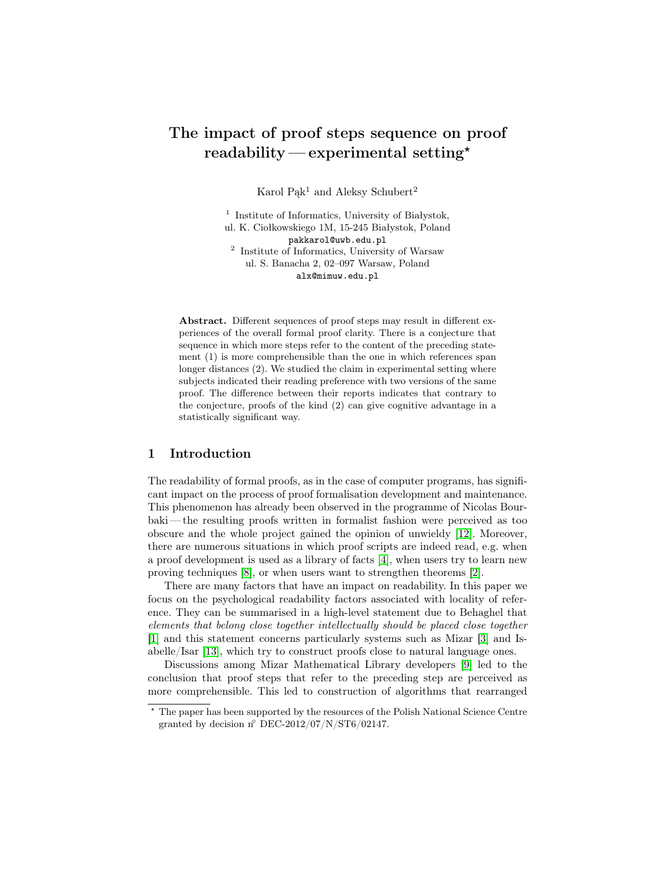# The impact of proof steps sequence on proof readability — experimental setting\*

Karol Pak<sup>1</sup> and Aleksy Schubert<sup>2</sup>

<sup>1</sup> Institute of Informatics, University of Białystok, ul. K. Ciołkowskiego 1M, 15-245 Białystok, Poland pakkarol@uwb.edu.pl 2 Institute of Informatics, University of Warsaw ul. S. Banacha 2, 02–097 Warsaw, Poland alx@mimuw.edu.pl

Abstract. Different sequences of proof steps may result in different experiences of the overall formal proof clarity. There is a conjecture that sequence in which more steps refer to the content of the preceding statement (1) is more comprehensible than the one in which references span longer distances (2). We studied the claim in experimental setting where subjects indicated their reading preference with two versions of the same proof. The difference between their reports indicates that contrary to the conjecture, proofs of the kind (2) can give cognitive advantage in a statistically significant way.

## 1 Introduction

The readability of formal proofs, as in the case of computer programs, has significant impact on the process of proof formalisation development and maintenance. This phenomenon has already been observed in the programme of Nicolas Bourbaki — the resulting proofs written in formalist fashion were perceived as too obscure and the whole project gained the opinion of unwieldy [\[12\]](#page-12-0). Moreover, there are numerous situations in which proof scripts are indeed read, e.g. when a proof development is used as a library of facts [\[4\]](#page-12-1), when users try to learn new proving techniques [\[8\]](#page-12-2), or when users want to strengthen theorems [\[2\]](#page-12-3).

There are many factors that have an impact on readability. In this paper we focus on the psychological readability factors associated with locality of reference. They can be summarised in a high-level statement due to Behaghel that elements that belong close together intellectually should be placed close together [\[1\]](#page-12-4) and this statement concerns particularly systems such as Mizar [\[3\]](#page-12-5) and Isabelle/Isar [\[13\]](#page-12-6), which try to construct proofs close to natural language ones.

Discussions among Mizar Mathematical Library developers [\[9\]](#page-12-7) led to the conclusion that proof steps that refer to the preceding step are perceived as more comprehensible. This led to construction of algorithms that rearranged

<sup>?</sup> The paper has been supported by the resources of the Polish National Science Centre granted by decision  $n°$  DEC-2012/07/N/ST6/02147.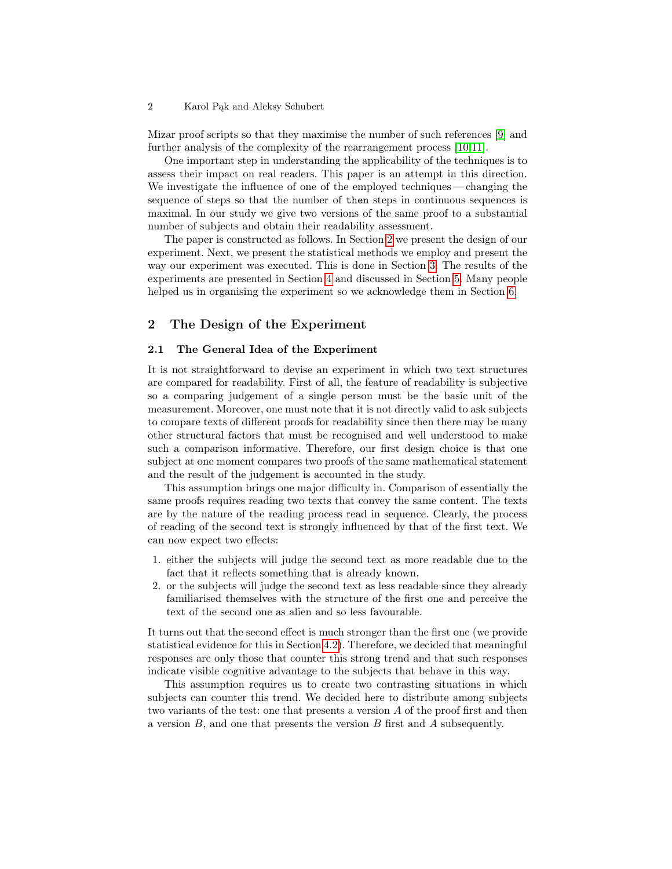Mizar proof scripts so that they maximise the number of such references [\[9\]](#page-12-7) and further analysis of the complexity of the rearrangement process [\[10,](#page-12-8)[11\]](#page-12-9).

One important step in understanding the applicability of the techniques is to assess their impact on real readers. This paper is an attempt in this direction. We investigate the influence of one of the employed techniques — changing the sequence of steps so that the number of then steps in continuous sequences is maximal. In our study we give two versions of the same proof to a substantial number of subjects and obtain their readability assessment.

The paper is constructed as follows. In Section [2](#page-1-0) we present the design of our experiment. Next, we present the statistical methods we employ and present the way our experiment was executed. This is done in Section [3.](#page-4-0) The results of the experiments are presented in Section [4](#page-8-0) and discussed in Section [5.](#page-11-0) Many people helped us in organising the experiment so we acknowledge them in Section [6.](#page-11-1)

## <span id="page-1-0"></span>2 The Design of the Experiment

## 2.1 The General Idea of the Experiment

It is not straightforward to devise an experiment in which two text structures are compared for readability. First of all, the feature of readability is subjective so a comparing judgement of a single person must be the basic unit of the measurement. Moreover, one must note that it is not directly valid to ask subjects to compare texts of different proofs for readability since then there may be many other structural factors that must be recognised and well understood to make such a comparison informative. Therefore, our first design choice is that one subject at one moment compares two proofs of the same mathematical statement and the result of the judgement is accounted in the study.

This assumption brings one major difficulty in. Comparison of essentially the same proofs requires reading two texts that convey the same content. The texts are by the nature of the reading process read in sequence. Clearly, the process of reading of the second text is strongly influenced by that of the first text. We can now expect two effects:

- <span id="page-1-1"></span>1. either the subjects will judge the second text as more readable due to the fact that it reflects something that is already known,
- <span id="page-1-2"></span>2. or the subjects will judge the second text as less readable since they already familiarised themselves with the structure of the first one and perceive the text of the second one as alien and so less favourable.

It turns out that the second effect is much stronger than the first one (we provide statistical evidence for this in Section [4.2\)](#page-10-0). Therefore, we decided that meaningful responses are only those that counter this strong trend and that such responses indicate visible cognitive advantage to the subjects that behave in this way.

This assumption requires us to create two contrasting situations in which subjects can counter this trend. We decided here to distribute among subjects two variants of the test: one that presents a version A of the proof first and then a version  $B$ , and one that presents the version  $B$  first and  $A$  subsequently.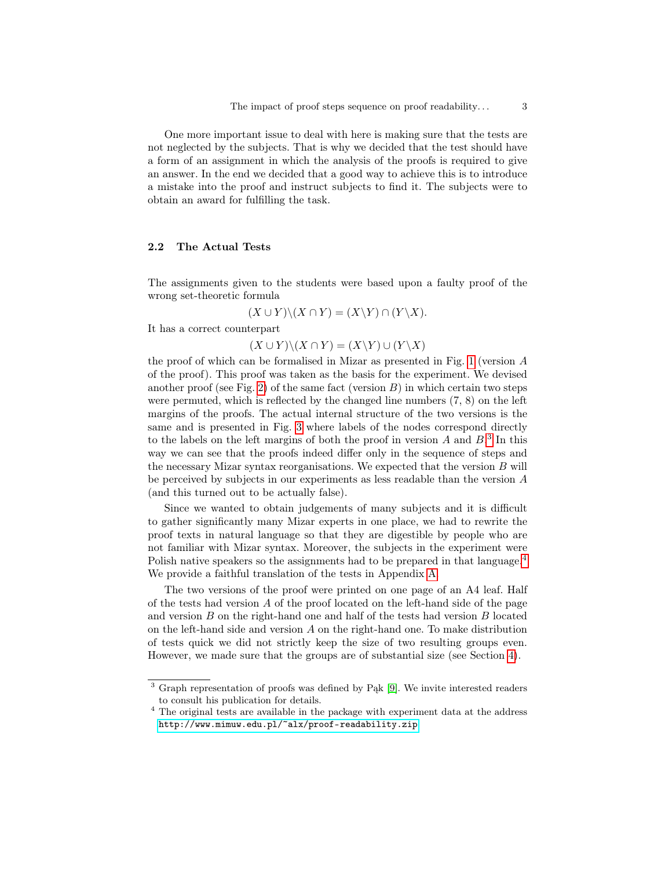One more important issue to deal with here is making sure that the tests are not neglected by the subjects. That is why we decided that the test should have a form of an assignment in which the analysis of the proofs is required to give an answer. In the end we decided that a good way to achieve this is to introduce a mistake into the proof and instruct subjects to find it. The subjects were to obtain an award for fulfilling the task.

## 2.2 The Actual Tests

The assignments given to the students were based upon a faulty proof of the wrong set-theoretic formula

$$
(X \cup Y) \setminus (X \cap Y) = (X \setminus Y) \cap (Y \setminus X).
$$

It has a correct counterpart

 $(X \cup Y) \setminus (X \cap Y) = (X \setminus Y) \cup (Y \setminus X)$ 

the proof of which can be formalised in Mizar as presented in Fig. [1](#page-3-0) (version A of the proof). This proof was taken as the basis for the experiment. We devised another proof (see Fig. [2\)](#page-3-1) of the same fact (version  $B$ ) in which certain two steps were permuted, which is reflected by the changed line numbers (7, 8) on the left margins of the proofs. The actual internal structure of the two versions is the same and is presented in Fig. [3](#page-4-1) where labels of the nodes correspond directly to the labels on the left margins of both the proof in version  $A$  and  $B$ <sup>[3](#page-2-0)</sup>. In this way we can see that the proofs indeed differ only in the sequence of steps and the necessary Mizar syntax reorganisations. We expected that the version  $B$  will be perceived by subjects in our experiments as less readable than the version A (and this turned out to be actually false).

Since we wanted to obtain judgements of many subjects and it is difficult to gather significantly many Mizar experts in one place, we had to rewrite the proof texts in natural language so that they are digestible by people who are not familiar with Mizar syntax. Moreover, the subjects in the experiment were Polish native speakers so the assignments had to be prepared in that language.<sup>[4](#page-2-1)</sup> We provide a faithful translation of the tests in Appendix [A.](#page-12-10)

The two versions of the proof were printed on one page of an A4 leaf. Half of the tests had version A of the proof located on the left-hand side of the page and version  $B$  on the right-hand one and half of the tests had version  $B$  located on the left-hand side and version  $A$  on the right-hand one. To make distribution of tests quick we did not strictly keep the size of two resulting groups even. However, we made sure that the groups are of substantial size (see Section [4\)](#page-8-0).

<span id="page-2-0"></span><sup>3</sup> Graph representation of proofs was defined by Pąk [\[9\]](#page-12-7). We invite interested readers to consult his publication for details.

<span id="page-2-1"></span><sup>&</sup>lt;sup>4</sup> The original tests are available in the package with experiment data at the address <http://www.mimuw.edu.pl/~alx/proof-readability.zip>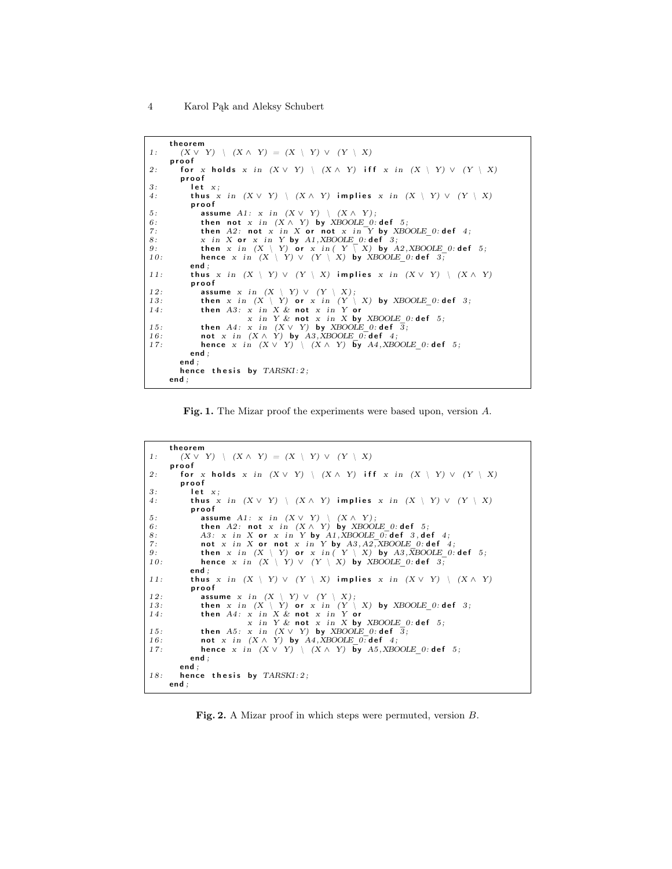```
theorem
1 : (X \vee Y) \setminus (X \wedge Y) = (X \setminus Y) \vee (Y \setminus X)p r o o f
2: for x holds x in (X \vee Y) | (X \wedge Y) iff x in (X \vee Y) \vee (Y \vee X)p r o o f
3: let x;4: thus x in (X \vee Y) \setminus (X \wedge Y) implies x in (X \vee Y) \vee (Y \vee X)p r o o f
5: assume A1: x in (X \vee Y) \setminus (X \wedge Y);<br>6: then not x in (X \wedge Y) by XBOOLE 0:def 5;
7: then A2: not x in X or not x in Y by XBOOLE_0: def 4;<br>8. x in X or x in Y by A1 XBOOLE 0: def 3.
8: x in X or x in Y by A1,XBOOLE_0: def 3;<br>9: then x in (X \setminus Y) or x in (Y \setminus X) by A2,XBOOLE_0: def 5;<br>10: hence x in (X \setminus Y) \vee (Y \setminus X) by XBOOLE 0: def 3;
               end ;
11: thus x in (X \setminus Y) \vee (Y \setminus X) implies x in (X \vee Y) \setminus (X \wedge Y)p r o o f
12: assume x in (X \setminus Y) \vee (Y \setminus X);<br>
13: then x in (X \setminus Y) or x in (Y \setminus X) by XBOOLE_0:def 3;<br>
14: then A3: x in X & not x in Y or
                                   x in Y & not x in X by XBOOLE 0: def 5;
15: then A4: x in (X \vee Y) by XBOOLE_0:def 3;<br>16: not x in (X \wedge Y) by A3, XBOOLE 0:def 4;<br>17: hence x in (X \vee Y) \setminus (X \wedge Y) by A4, XBOOLE 0:def 5;
               end ;
           end ;
           hence thesis by TARSKI:2;
       end ;
```
<span id="page-3-0"></span>Fig. 1. The Mizar proof the experiments were based upon, version A.

```
theorem
1: (X \vee Y) \setminus (X \wedge Y) = (X \setminus Y) \vee (Y \setminus X)p r o o f
2: for x holds x in (X \vee Y) \setminus (X \wedge Y) iff x in (X \setminus Y) \vee (Y \setminus X)p r o o f
3: let x;<br>4: thus xthus x in (X \vee Y) \setminus (X \wedge Y) implies x in (X \setminus Y) \vee (Y \setminus X)p r o o f
5: assume A1: x \text{ in } (X \vee Y) \setminus (X \wedge Y);<br>6: then A2: \text{ not } x \text{ in } (X \wedge Y) by XBOOLE 0:def 5;
8: A3: x in X or x in Y by A1, XBOOLE 0: def 3, def 4;
7: not x in X or not x in Y by A3, A2, XBOOLE_0: def 4;<br>9: then x in (X \setminus Y) or x in (Y \setminus X) by A3, \overline{X}BOOLE_0: def 5;<br>10: hence x in (X \setminus Y) \vee (Y \setminus X) by XBOOLE 0: def 3;
               end ;
11: thus x in (X \setminus Y) \vee (Y \setminus X) implies x in (X \vee Y) \setminus (X \wedge Y)p r o o f
12: assume x in (X \setminus Y) \vee (Y \setminus X);<br>13: then x in (X \setminus Y) or x in (Y \setminus Y)13: then x in (X \setminus Y) or x in (Y \setminus X) by XBOOLE_0:def 3;<br>14: then A4: x in X & not x in Y or
                                   x in Y & not x in X by XBOOLE 0: def 5;
15: then A5: x in (X \vee Y) by XBOOLE_0:def 3;<br>16: not x in (X \wedge Y) by A4, XBOOLE 0:def 4;<br>17: hence x in (X \vee Y) \setminus (X \wedge Y) by A5, XBOOLE 0:def 5;
               end ;
           end ;
18: hence thesis by TARSKI:2;
       end ;
```
<span id="page-3-1"></span>Fig. 2. A Mizar proof in which steps were permuted, version B.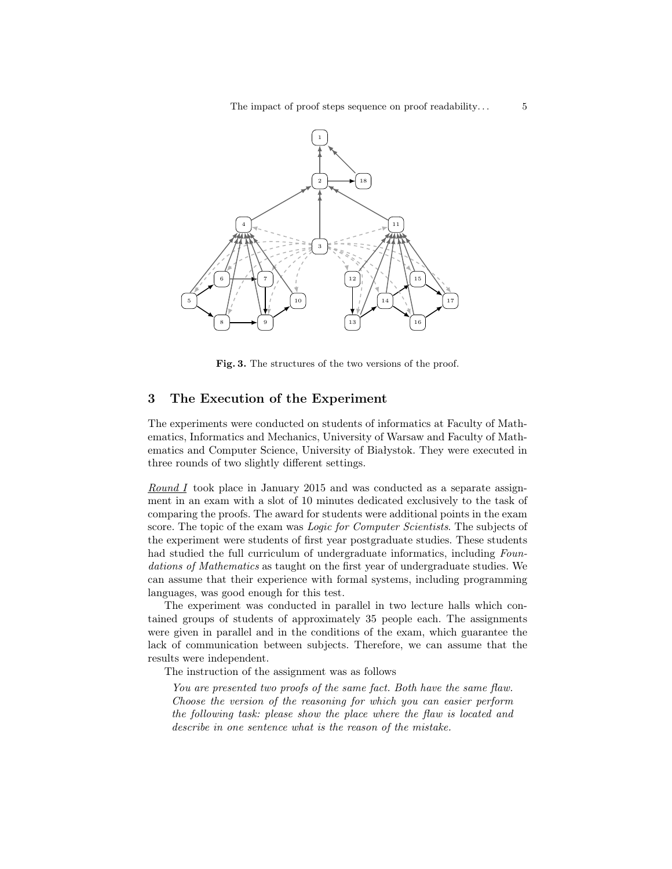

<span id="page-4-1"></span>Fig. 3. The structures of the two versions of the proof.

## <span id="page-4-0"></span>3 The Execution of the Experiment

The experiments were conducted on students of informatics at Faculty of Mathematics, Informatics and Mechanics, University of Warsaw and Faculty of Mathematics and Computer Science, University of Białystok. They were executed in three rounds of two slightly different settings.

Round I took place in January 2015 and was conducted as a separate assignment in an exam with a slot of 10 minutes dedicated exclusively to the task of comparing the proofs. The award for students were additional points in the exam score. The topic of the exam was *Logic for Computer Scientists*. The subjects of the experiment were students of first year postgraduate studies. These students had studied the full curriculum of undergraduate informatics, including Foundations of Mathematics as taught on the first year of undergraduate studies. We can assume that their experience with formal systems, including programming languages, was good enough for this test.

The experiment was conducted in parallel in two lecture halls which contained groups of students of approximately 35 people each. The assignments were given in parallel and in the conditions of the exam, which guarantee the lack of communication between subjects. Therefore, we can assume that the results were independent.

The instruction of the assignment was as follows

You are presented two proofs of the same fact. Both have the same flaw. Choose the version of the reasoning for which you can easier perform the following task: please show the place where the flaw is located and describe in one sentence what is the reason of the mistake.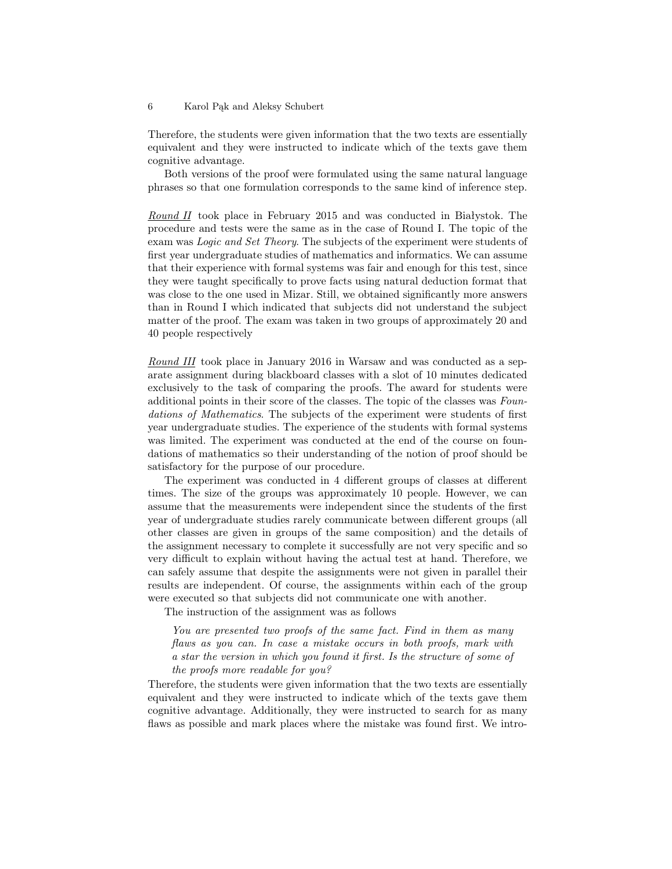Therefore, the students were given information that the two texts are essentially equivalent and they were instructed to indicate which of the texts gave them cognitive advantage.

Both versions of the proof were formulated using the same natural language phrases so that one formulation corresponds to the same kind of inference step.

Round II took place in February 2015 and was conducted in Białystok. The procedure and tests were the same as in the case of Round I. The topic of the exam was Logic and Set Theory. The subjects of the experiment were students of first year undergraduate studies of mathematics and informatics. We can assume that their experience with formal systems was fair and enough for this test, since they were taught specifically to prove facts using natural deduction format that was close to the one used in Mizar. Still, we obtained significantly more answers than in Round I which indicated that subjects did not understand the subject matter of the proof. The exam was taken in two groups of approximately 20 and 40 people respectively

Round III took place in January 2016 in Warsaw and was conducted as a separate assignment during blackboard classes with a slot of 10 minutes dedicated exclusively to the task of comparing the proofs. The award for students were additional points in their score of the classes. The topic of the classes was Foundations of Mathematics. The subjects of the experiment were students of first year undergraduate studies. The experience of the students with formal systems was limited. The experiment was conducted at the end of the course on foundations of mathematics so their understanding of the notion of proof should be satisfactory for the purpose of our procedure.

The experiment was conducted in 4 different groups of classes at different times. The size of the groups was approximately 10 people. However, we can assume that the measurements were independent since the students of the first year of undergraduate studies rarely communicate between different groups (all other classes are given in groups of the same composition) and the details of the assignment necessary to complete it successfully are not very specific and so very difficult to explain without having the actual test at hand. Therefore, we can safely assume that despite the assignments were not given in parallel their results are independent. Of course, the assignments within each of the group were executed so that subjects did not communicate one with another.

The instruction of the assignment was as follows

You are presented two proofs of the same fact. Find in them as many flaws as you can. In case a mistake occurs in both proofs, mark with a star the version in which you found it first. Is the structure of some of the proofs more readable for you?

Therefore, the students were given information that the two texts are essentially equivalent and they were instructed to indicate which of the texts gave them cognitive advantage. Additionally, they were instructed to search for as many flaws as possible and mark places where the mistake was found first. We intro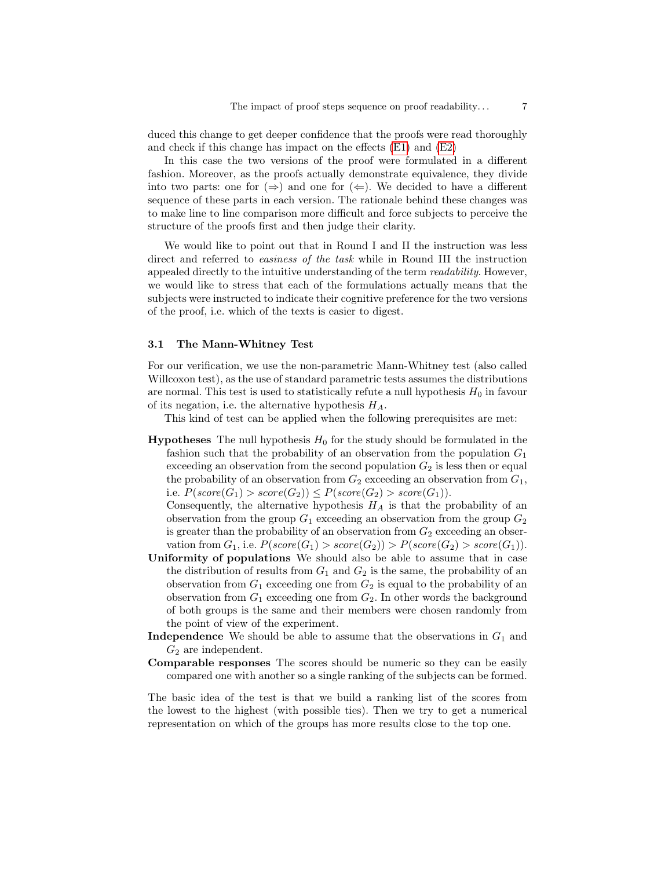duced this change to get deeper confidence that the proofs were read thoroughly and check if this change has impact on the effects [\(E1\)](#page-1-1) and [\(E2\)](#page-1-2)

In this case the two versions of the proof were formulated in a different fashion. Moreover, as the proofs actually demonstrate equivalence, they divide into two parts: one for  $(\Rightarrow)$  and one for  $(\Leftarrow)$ . We decided to have a different sequence of these parts in each version. The rationale behind these changes was to make line to line comparison more difficult and force subjects to perceive the structure of the proofs first and then judge their clarity.

We would like to point out that in Round I and II the instruction was less direct and referred to *easiness of the task* while in Round III the instruction appealed directly to the intuitive understanding of the term readability. However, we would like to stress that each of the formulations actually means that the subjects were instructed to indicate their cognitive preference for the two versions of the proof, i.e. which of the texts is easier to digest.

#### <span id="page-6-0"></span>3.1 The Mann-Whitney Test

For our verification, we use the non-parametric Mann-Whitney test (also called Willcoxon test), as the use of standard parametric tests assumes the distributions are normal. This test is used to statistically refute a null hypothesis  $H_0$  in favour of its negation, i.e. the alternative hypothesis  $H_A$ .

This kind of test can be applied when the following prerequisites are met:

**Hypotheses** The null hypothesis  $H_0$  for the study should be formulated in the fashion such that the probability of an observation from the population  $G_1$ exceeding an observation from the second population  $G_2$  is less then or equal the probability of an observation from  $G_2$  exceeding an observation from  $G_1$ , i.e.  $P(\text{score}(G_1) > \text{score}(G_2)) \leq P(\text{score}(G_2) > \text{score}(G_1)).$ 

Consequently, the alternative hypothesis  $H_A$  is that the probability of an observation from the group  $G_1$  exceeding an observation from the group  $G_2$ is greater than the probability of an observation from  $G_2$  exceeding an observation from  $G_1$ , i.e.  $P(score(G_1) > score(G_2)) > P(score(G_2) > score(G_1)).$ 

- Uniformity of populations We should also be able to assume that in case the distribution of results from  $G_1$  and  $G_2$  is the same, the probability of an observation from  $G_1$  exceeding one from  $G_2$  is equal to the probability of an observation from  $G_1$  exceeding one from  $G_2$ . In other words the background of both groups is the same and their members were chosen randomly from the point of view of the experiment.
- **Independence** We should be able to assume that the observations in  $G_1$  and  $G_2$  are independent.
- Comparable responses The scores should be numeric so they can be easily compared one with another so a single ranking of the subjects can be formed.

The basic idea of the test is that we build a ranking list of the scores from the lowest to the highest (with possible ties). Then we try to get a numerical representation on which of the groups has more results close to the top one.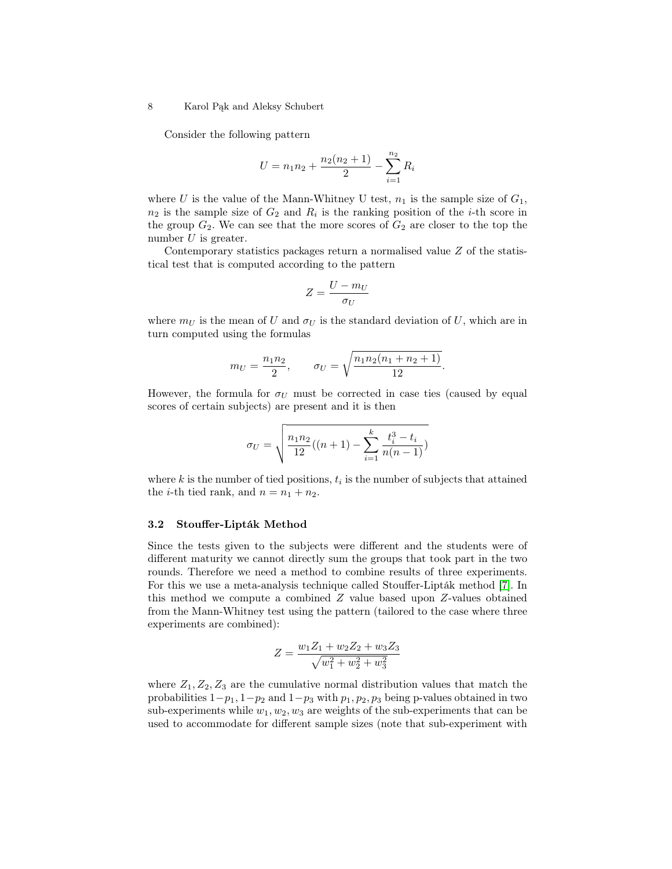Consider the following pattern

$$
U = n_1 n_2 + \frac{n_2(n_2 + 1)}{2} - \sum_{i=1}^{n_2} R_i
$$

where U is the value of the Mann-Whitney U test,  $n_1$  is the sample size of  $G_1$ ,  $n_2$  is the sample size of  $G_2$  and  $R_i$  is the ranking position of the *i*-th score in the group  $G_2$ . We can see that the more scores of  $G_2$  are closer to the top the number  $U$  is greater.

Contemporary statistics packages return a normalised value Z of the statistical test that is computed according to the pattern

$$
Z=\frac{U-m_U}{\sigma_U}
$$

where  $m_U$  is the mean of U and  $\sigma_U$  is the standard deviation of U, which are in turn computed using the formulas

$$
m_U = \frac{n_1 n_2}{2}, \qquad \sigma_U = \sqrt{\frac{n_1 n_2 (n_1 + n_2 + 1)}{12}}
$$

.

However, the formula for  $\sigma_U$  must be corrected in case ties (caused by equal scores of certain subjects) are present and it is then

$$
\sigma_U = \sqrt{\frac{n_1 n_2}{12}((n+1) - \sum_{i=1}^k \frac{t_i^3 - t_i}{n(n-1)})}
$$

where  $k$  is the number of tied positions,  $t_i$  is the number of subjects that attained the *i*-th tied rank, and  $n = n_1 + n_2$ .

## 3.2 Stouffer-Lipták Method

Since the tests given to the subjects were different and the students were of different maturity we cannot directly sum the groups that took part in the two rounds. Therefore we need a method to combine results of three experiments. For this we use a meta-analysis technique called Stouffer-Lipták method [\[7\]](#page-12-11). In this method we compute a combined Z value based upon Z-values obtained from the Mann-Whitney test using the pattern (tailored to the case where three experiments are combined):

$$
Z = \frac{w_1 Z_1 + w_2 Z_2 + w_3 Z_3}{\sqrt{w_1^2 + w_2^2 + w_3^2}}
$$

where  $Z_1, Z_2, Z_3$  are the cumulative normal distribution values that match the probabilities  $1-p_1$ ,  $1-p_2$  and  $1-p_3$  with  $p_1, p_2, p_3$  being p-values obtained in two sub-experiments while  $w_1, w_2, w_3$  are weights of the sub-experiments that can be used to accommodate for different sample sizes (note that sub-experiment with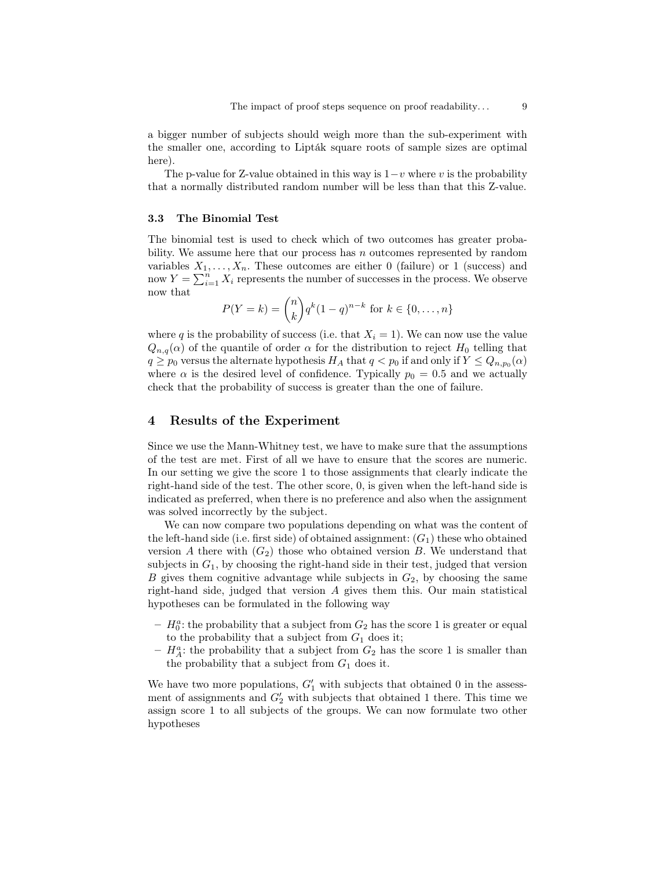a bigger number of subjects should weigh more than the sub-experiment with the smaller one, according to Lipták square roots of sample sizes are optimal here).

The p-value for Z-value obtained in this way is  $1-v$  where v is the probability that a normally distributed random number will be less than that this Z-value.

#### 3.3 The Binomial Test

The binomial test is used to check which of two outcomes has greater probability. We assume here that our process has  $n$  outcomes represented by random variables  $X_1, \ldots, X_n$ . These outcomes are either 0 (failure) or 1 (success) and now  $Y = \sum_{i=1}^{n} X_i$  represents the number of successes in the process. We observe now that

$$
P(Y = k) = {n \choose k} q^{k} (1 - q)^{n - k} \text{ for } k \in \{0, ..., n\}
$$

where q is the probability of success (i.e. that  $X_i = 1$ ). We can now use the value  $Q_{n,q}(\alpha)$  of the quantile of order  $\alpha$  for the distribution to reject  $H_0$  telling that  $q \geq p_0$  versus the alternate hypothesis  $H_A$  that  $q < p_0$  if and only if  $Y \leq Q_{n,p_0}(\alpha)$ where  $\alpha$  is the desired level of confidence. Typically  $p_0 = 0.5$  and we actually check that the probability of success is greater than the one of failure.

## <span id="page-8-0"></span>4 Results of the Experiment

Since we use the Mann-Whitney test, we have to make sure that the assumptions of the test are met. First of all we have to ensure that the scores are numeric. In our setting we give the score 1 to those assignments that clearly indicate the right-hand side of the test. The other score, 0, is given when the left-hand side is indicated as preferred, when there is no preference and also when the assignment was solved incorrectly by the subject.

We can now compare two populations depending on what was the content of the left-hand side (i.e. first side) of obtained assignment:  $(G_1)$  these who obtained version A there with  $(G_2)$  those who obtained version B. We understand that subjects in  $G_1$ , by choosing the right-hand side in their test, judged that version B gives them cognitive advantage while subjects in  $G_2$ , by choosing the same right-hand side, judged that version A gives them this. Our main statistical hypotheses can be formulated in the following way

- $H_0^a$ : the probability that a subject from  $G_2$  has the score 1 is greater or equal to the probability that a subject from  $G_1$  does it;
- $H_A^a$ : the probability that a subject from  $G_2$  has the score 1 is smaller than the probability that a subject from  $G_1$  does it.

We have two more populations,  $G'_1$  with subjects that obtained 0 in the assessment of assignments and  $G_2'$  with subjects that obtained 1 there. This time we assign score 1 to all subjects of the groups. We can now formulate two other hypotheses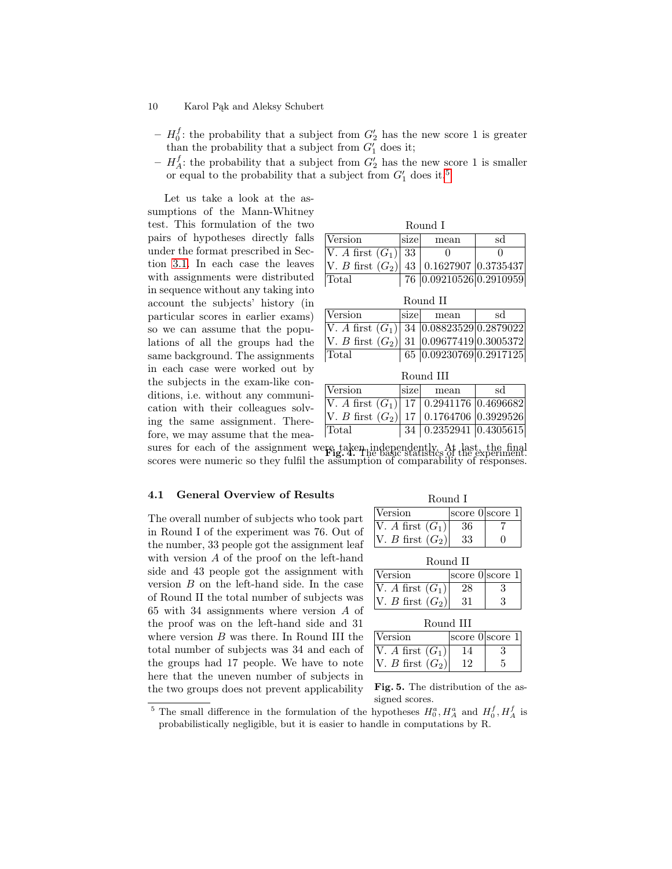- 10 Karol Pąk and Aleksy Schubert
	- $H_0^f$ : the probability that a subject from  $G_2'$  has the new score 1 is greater than the probability that a subject from  $G'_1$  does it;
	- $H_A^f$ : the probability that a subject from  $G_2'$  has the new score 1 is smaller or equal to the probability that a subject from  $G'_1$  does it.<sup>[5](#page-9-0)</sup>

Let us take a look at the assumptions of the Mann-Whitney test. This formulation of the two pairs of hypotheses directly falls under the format prescribed in Section [3.1.](#page-6-0) In each case the leaves with assignments were distributed in sequence without any taking into account the subjects' history (in particular scores in earlier exams) so we can assume that the populations of all the groups had the same background. The assignments in each case were worked out by the subjects in the exam-like conditions, i.e. without any communication with their colleagues solving the same assignment. Therefore, we may assume that the mea-

| Round I                                       |      |                         |    |
|-----------------------------------------------|------|-------------------------|----|
| Version                                       | size | mean                    | sd |
| V. A first $(G_1)$ 33                         |      |                         |    |
| V. B first $(G_2)$ 43   0.1627907   0.3735437 |      |                         |    |
| Total                                         |      | 76 0.09210526 0.2910959 |    |

|                                                 |      | Round II                |    |
|-------------------------------------------------|------|-------------------------|----|
| Version                                         | size | mean                    | sd |
| V. A first $(G_1)$   34 $ 0.08823529 0.2879022$ |      |                         |    |
| V. B first $(G_2)$ 31 0.09677419 0.3005372      |      |                         |    |
| Total                                           |      | 65 0.09230769 0.2917125 |    |
|                                                 |      |                         |    |

| Round III                                                                   |      |                                |    |
|-----------------------------------------------------------------------------|------|--------------------------------|----|
| Version                                                                     | size | mean                           | sd |
| $\overline{V.A \text{ first } (G_1) \mid 17 \mid 0.2941176 \mid 0.4696682}$ |      |                                |    |
| V. B first $(G_2)$ 17 0.1764706 0.3929526                                   |      |                                |    |
| Total                                                                       |      | 34   $0.2352941$   $0.4305615$ |    |

sures for each of the assignment were taken independently. At last, the final sures for the experiment. scores were numeric so they fulfil the assumption of comparability of responses.

#### 4.1 General Overview of Results

The overall number of subjects who took part in Round I of the experiment was 76. Out of the number, 33 people got the assignment leaf with version A of the proof on the left-hand side and 43 people got the assignment with version B on the left-hand side. In the case of Round II the total number of subjects was 65 with 34 assignments where version A of the proof was on the left-hand side and 31 where version B was there. In Round III the total number of subjects was 34 and each of the groups had 17 people. We have to note here that the uneven number of subjects in the two groups does not prevent applicability

| Round |
|-------|
|-------|

<span id="page-9-1"></span>

| Version               |    | score 0 score 1 |
|-----------------------|----|-----------------|
| $ V. A$ first $(G_1)$ | 36 |                 |
| V. B first $(G_2)$    | 33 |                 |

| Round |  |
|-------|--|
|-------|--|

| Version            | score 0 score 1 |  |
|--------------------|-----------------|--|
| V. A first $(G_1)$ |                 |  |
| V. B first $(G_2)$ |                 |  |

| Round III |  |
|-----------|--|
|-----------|--|

| <i><u><b>Version</b></u></i> | score 0 score 1 |  |
|------------------------------|-----------------|--|
| V. A first $(G_1)$           |                 |  |
| $ V. B$ first $(G_2) $       |                 |  |

<span id="page-9-2"></span>Fig. 5. The distribution of the assigned scores.

<span id="page-9-0"></span><sup>&</sup>lt;sup>5</sup> The small difference in the formulation of the hypotheses  $H_0^a$ ,  $H_A^a$  and  $H_0^f$ ,  $H_A^f$  is probabilistically negligible, but it is easier to handle in computations by R.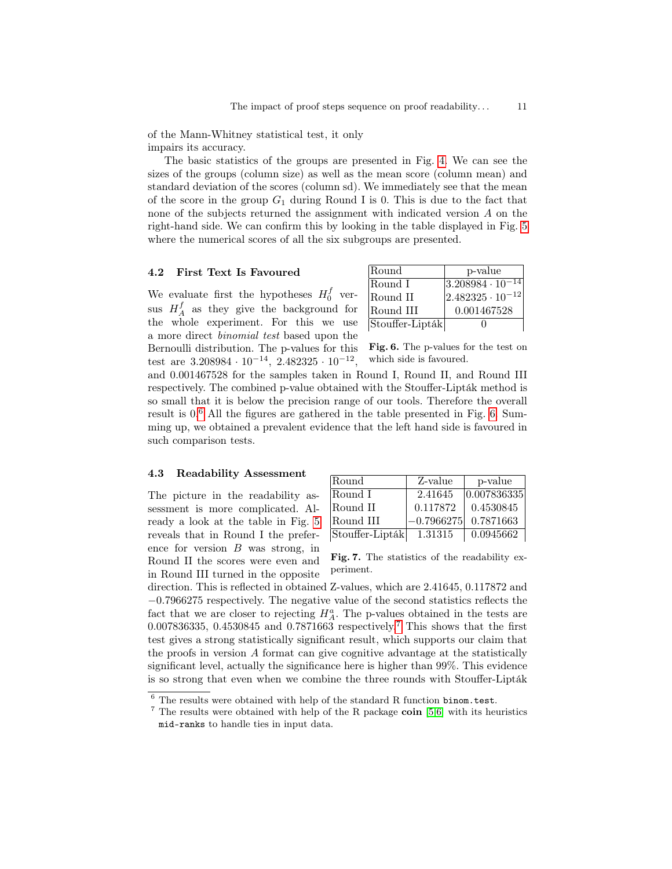of the Mann-Whitney statistical test, it only impairs its accuracy.

The basic statistics of the groups are presented in Fig. [4.](#page-9-1) We can see the sizes of the groups (column size) as well as the mean score (column mean) and standard deviation of the scores (column sd). We immediately see that the mean of the score in the group  $G_1$  during Round I is 0. This is due to the fact that none of the subjects returned the assignment with indicated version A on the right-hand side. We can confirm this by looking in the table displayed in Fig. [5](#page-9-2) where the numerical scores of all the six subgroups are presented.

#### <span id="page-10-0"></span>4.2 First Text Is Favoured

We evaluate first the hypotheses  $H_0^f$  versus  $H_A^f$  as they give the background for the whole experiment. For this we use a more direct binomial test based upon the Bernoulli distribution. The p-values for this test are  $3.208984 \cdot 10^{-14}$ ,  $2.482325 \cdot 10^{-12}$ ,

| Round           | p-value                          |
|-----------------|----------------------------------|
| Round I         | $\sqrt{3.208984 \cdot 10^{-14}}$ |
| Round II        | $ 2.482325 \cdot 10^{-12} $      |
| Round III       | 0.001467528                      |
| Stouffer-Lipták |                                  |

<span id="page-10-2"></span>Fig. 6. The p-values for the test on which side is favoured.

and 0.001467528 for the samples taken in Round I, Round II, and Round III respectively. The combined p-value obtained with the Stouffer-Lipták method is so small that it is below the precision range of our tools. Therefore the overall result is 0. [6](#page-10-1) All the figures are gathered in the table presented in Fig. [6.](#page-10-2) Summing up, we obtained a prevalent evidence that the left hand side is favoured in such comparison tests.

#### 4.3 Readability Assessment

The picture in the readability assessment is more complicated. Already a look at the table in Fig. [5](#page-9-2) reveals that in Round I the preference for version  $B$  was strong, in Round II the scores were even and in Round III turned in the opposite

| Round           | Z-value      | p-value     |
|-----------------|--------------|-------------|
| Round I         | 2.41645      | 0.007836335 |
| Round II        | 0.117872     | 0.4530845   |
| Round III       | $-0.7966275$ | 0.7871663   |
| Stouffer-Lipták | 1.31315      | 0.0945662   |

<span id="page-10-4"></span>Fig. 7. The statistics of the readability experiment.

direction. This is reflected in obtained Z-values, which are 2.41645, 0.117872 and −0.7966275 respectively. The negative value of the second statistics reflects the fact that we are closer to rejecting  $H_A^a$ . The p-values obtained in the tests are 0.00[7](#page-10-3)836335, 0.4530845 and 0.7871663 respectively.<sup>7</sup> This shows that the first test gives a strong statistically significant result, which supports our claim that the proofs in version A format can give cognitive advantage at the statistically significant level, actually the significance here is higher than 99%. This evidence is so strong that even when we combine the three rounds with Stouffer-Lipták

<span id="page-10-1"></span> $6$  The results were obtained with help of the standard R function binom.test.

<span id="page-10-3"></span> $7$  The results were obtained with help of the R package coin [\[5](#page-12-12)[,6\]](#page-12-13) with its heuristics mid-ranks to handle ties in input data.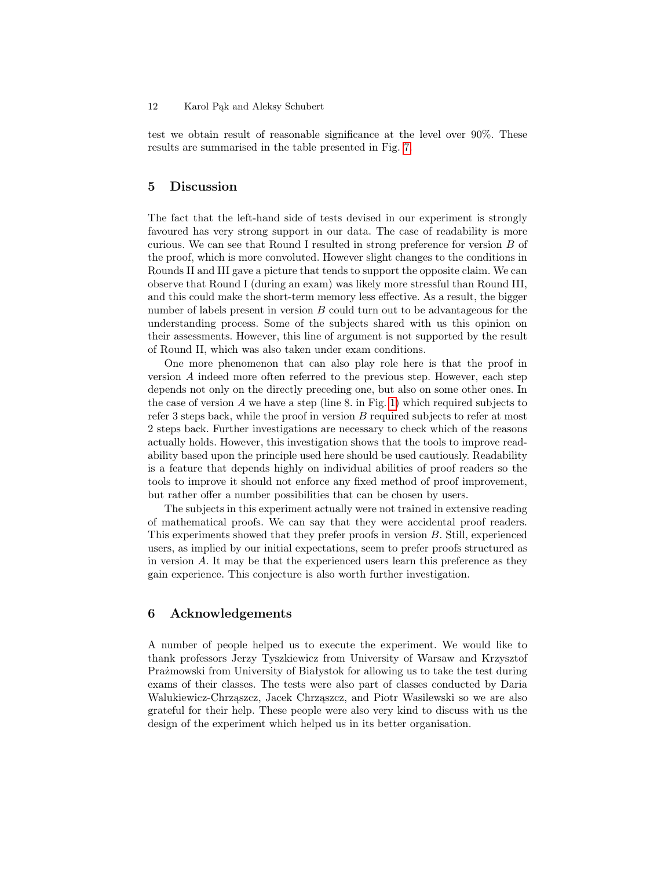test we obtain result of reasonable significance at the level over 90%. These results are summarised in the table presented in Fig. [7.](#page-10-4)

## <span id="page-11-0"></span>5 Discussion

The fact that the left-hand side of tests devised in our experiment is strongly favoured has very strong support in our data. The case of readability is more curious. We can see that Round I resulted in strong preference for version B of the proof, which is more convoluted. However slight changes to the conditions in Rounds II and III gave a picture that tends to support the opposite claim. We can observe that Round I (during an exam) was likely more stressful than Round III, and this could make the short-term memory less effective. As a result, the bigger number of labels present in version B could turn out to be advantageous for the understanding process. Some of the subjects shared with us this opinion on their assessments. However, this line of argument is not supported by the result of Round II, which was also taken under exam conditions.

One more phenomenon that can also play role here is that the proof in version A indeed more often referred to the previous step. However, each step depends not only on the directly preceding one, but also on some other ones. In the case of version  $A$  we have a step (line 8. in Fig. [1\)](#page-3-0) which required subjects to refer 3 steps back, while the proof in version  $B$  required subjects to refer at most 2 steps back. Further investigations are necessary to check which of the reasons actually holds. However, this investigation shows that the tools to improve readability based upon the principle used here should be used cautiously. Readability is a feature that depends highly on individual abilities of proof readers so the tools to improve it should not enforce any fixed method of proof improvement, but rather offer a number possibilities that can be chosen by users.

The subjects in this experiment actually were not trained in extensive reading of mathematical proofs. We can say that they were accidental proof readers. This experiments showed that they prefer proofs in version B. Still, experienced users, as implied by our initial expectations, seem to prefer proofs structured as in version A. It may be that the experienced users learn this preference as they gain experience. This conjecture is also worth further investigation.

## <span id="page-11-1"></span>6 Acknowledgements

A number of people helped us to execute the experiment. We would like to thank professors Jerzy Tyszkiewicz from University of Warsaw and Krzysztof Prażmowski from University of Białystok for allowing us to take the test during exams of their classes. The tests were also part of classes conducted by Daria Walukiewicz-Chrząszcz, Jacek Chrząszcz, and Piotr Wasilewski so we are also grateful for their help. These people were also very kind to discuss with us the design of the experiment which helped us in its better organisation.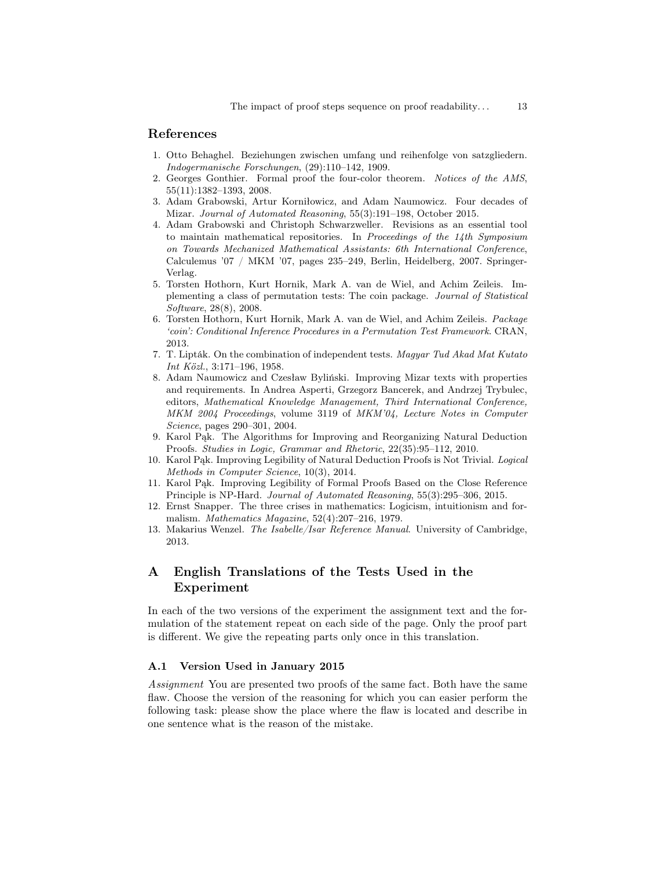## References

- <span id="page-12-4"></span>1. Otto Behaghel. Beziehungen zwischen umfang und reihenfolge von satzgliedern. Indogermanische Forschungen, (29):110–142, 1909.
- <span id="page-12-3"></span>2. Georges Gonthier. Formal proof the four-color theorem. Notices of the AMS, 55(11):1382–1393, 2008.
- <span id="page-12-5"></span>3. Adam Grabowski, Artur Korniłowicz, and Adam Naumowicz. Four decades of Mizar. Journal of Automated Reasoning, 55(3):191–198, October 2015.
- <span id="page-12-1"></span>4. Adam Grabowski and Christoph Schwarzweller. Revisions as an essential tool to maintain mathematical repositories. In Proceedings of the  $14$ th Symposium on Towards Mechanized Mathematical Assistants: 6th International Conference, Calculemus '07 / MKM '07, pages 235–249, Berlin, Heidelberg, 2007. Springer-Verlag.
- <span id="page-12-12"></span>5. Torsten Hothorn, Kurt Hornik, Mark A. van de Wiel, and Achim Zeileis. Implementing a class of permutation tests: The coin package. Journal of Statistical Software, 28(8), 2008.
- <span id="page-12-13"></span>6. Torsten Hothorn, Kurt Hornik, Mark A. van de Wiel, and Achim Zeileis. Package 'coin': Conditional Inference Procedures in a Permutation Test Framework. CRAN, 2013.
- <span id="page-12-11"></span>7. T. Lipták. On the combination of independent tests. Magyar Tud Akad Mat Kutato Int Közl., 3:171–196, 1958.
- <span id="page-12-2"></span>8. Adam Naumowicz and Czesław Byliński. Improving Mizar texts with properties and requirements. In Andrea Asperti, Grzegorz Bancerek, and Andrzej Trybulec, editors, Mathematical Knowledge Management, Third International Conference, MKM 2004 Proceedings, volume 3119 of MKM'04, Lecture Notes in Computer Science, pages 290–301, 2004.
- <span id="page-12-7"></span>9. Karol Pąk. The Algorithms for Improving and Reorganizing Natural Deduction Proofs. Studies in Logic, Grammar and Rhetoric, 22(35):95–112, 2010.
- <span id="page-12-8"></span>10. Karol Pąk. Improving Legibility of Natural Deduction Proofs is Not Trivial. Logical Methods in Computer Science, 10(3), 2014.
- <span id="page-12-9"></span>11. Karol Pąk. Improving Legibility of Formal Proofs Based on the Close Reference Principle is NP-Hard. Journal of Automated Reasoning, 55(3):295–306, 2015.
- <span id="page-12-0"></span>12. Ernst Snapper. The three crises in mathematics: Logicism, intuitionism and formalism. Mathematics Magazine, 52(4):207–216, 1979.
- <span id="page-12-6"></span>13. Makarius Wenzel. The Isabelle/Isar Reference Manual. University of Cambridge, 2013.

# <span id="page-12-10"></span>A English Translations of the Tests Used in the Experiment

In each of the two versions of the experiment the assignment text and the formulation of the statement repeat on each side of the page. Only the proof part is different. We give the repeating parts only once in this translation.

#### A.1 Version Used in January 2015

Assignment You are presented two proofs of the same fact. Both have the same flaw. Choose the version of the reasoning for which you can easier perform the following task: please show the place where the flaw is located and describe in one sentence what is the reason of the mistake.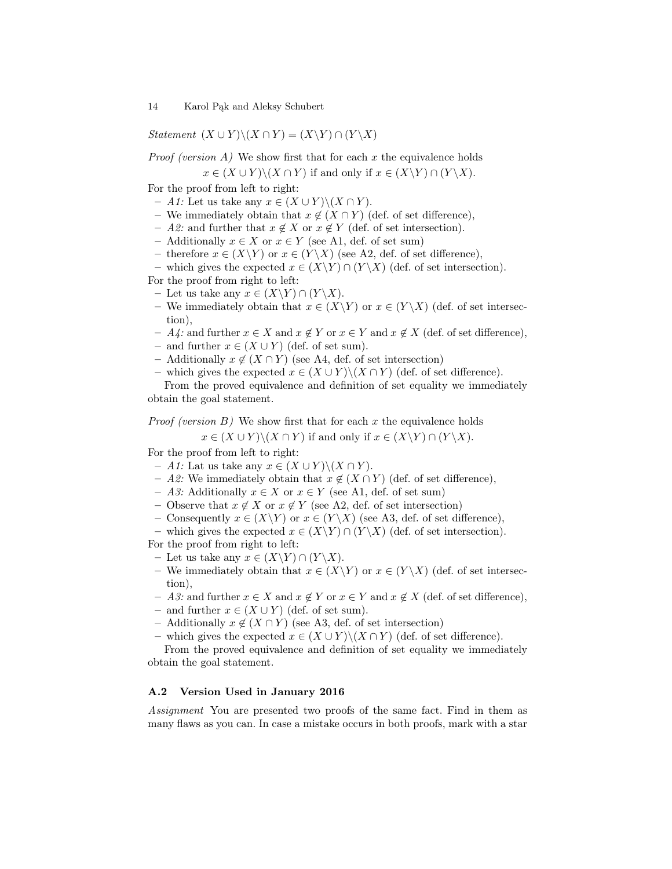Statement  $(X \cup Y) \setminus (X \cap Y) = (X \setminus Y) \cap (Y \setminus X)$ 

*Proof (version A)* We show first that for each  $x$  the equivalence holds

 $x \in (X \cup Y) \setminus (X \cap Y)$  if and only if  $x \in (X \setminus Y) \cap (Y \setminus X)$ .

For the proof from left to right:

- A1: Let us take any  $x \in (X \cup Y) \setminus (X \cap Y)$ .
- We immediately obtain that  $x \notin (X \cap Y)$  (def. of set difference),
- A2: and further that  $x \notin X$  or  $x \notin Y$  (def. of set intersection).
- Additionally x ∈ X or x ∈ Y (see A1, def. of set sum)
- therefore  $x \in (X \ Y)$  or  $x \in (Y \ X)$  (see A2, def. of set difference),

– which gives the expected  $x \in (X\Y) \cap (Y\X)$  (def. of set intersection).

For the proof from right to left:

- Let us take any  $x \in (X \ Y) \cap (Y \ X)$ .
- We immediately obtain that  $x \in (X \ Y)$  or  $x \in (Y \ X)$  (def. of set intersection),
- $A_4$ : and further  $x \in X$  and  $x \notin Y$  or  $x \in Y$  and  $x \notin X$  (def. of set difference),
- and further  $x \in (X \cup Y)$  (def. of set sum).
- Additionally  $x \notin (X \cap Y)$  (see A4, def. of set intersection)
- which gives the expected  $x \in (X \cup Y) \setminus (X \cap Y)$  (def. of set difference).

From the proved equivalence and definition of set equality we immediately obtain the goal statement.

*Proof (version B)* We show first that for each  $x$  the equivalence holds

 $x \in (X \cup Y) \setminus (X \cap Y)$  if and only if  $x \in (X \setminus Y) \cap (Y \setminus X)$ .

For the proof from left to right:

- $A1$ : Lat us take any  $x ∈ (X ∪ Y) \setminus (X ∩ Y)$ .
- A2: We immediately obtain that  $x \notin (X \cap Y)$  (def. of set difference),
- $− A3:$  Additionally  $x \in X$  or  $x \in Y$  (see A1, def. of set sum)
- Observe that  $x \notin X$  or  $x \notin Y$  (see A2, def. of set intersection)
- Consequently  $x \in (X \ Y)$  or  $x \in (Y \ X)$  (see A3, def. of set difference),
- which gives the expected  $x \in (X \ Y) \cap (Y \ X)$  (def. of set intersection).

For the proof from right to left:

- Let us take any  $x \in (X \backslash Y) \cap (Y \backslash X)$ .
- We immediately obtain that  $x \in (X \ Y)$  or  $x \in (Y \ X)$  (def. of set intersection),
- A3: and further  $x \in X$  and  $x \notin Y$  or  $x \in Y$  and  $x \notin X$  (def. of set difference),
- and further  $x \in (X \cup Y)$  (def. of set sum).
- Additionally  $x \notin (X \cap Y)$  (see A3, def. of set intersection)
- which gives the expected  $x \in (X \cup Y) \setminus (X \cap Y)$  (def. of set difference).

From the proved equivalence and definition of set equality we immediately obtain the goal statement.

#### A.2 Version Used in January 2016

Assignment You are presented two proofs of the same fact. Find in them as many flaws as you can. In case a mistake occurs in both proofs, mark with a star